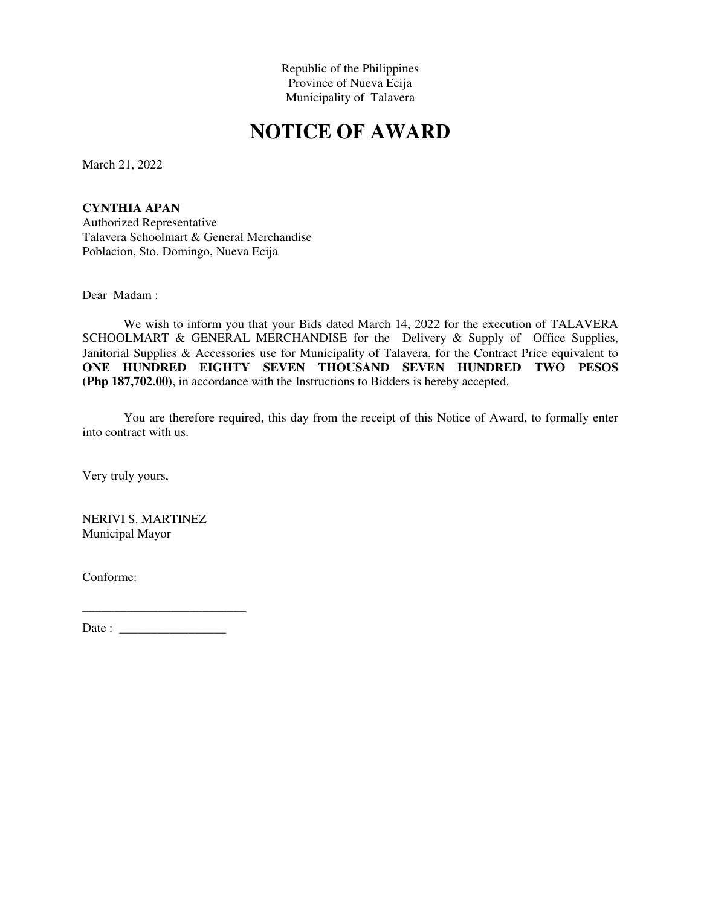Republic of the Philippines Province of Nueva Ecija Municipality of Talavera

## **NOTICE OF AWARD**

March 21, 2022

**CYNTHIA APAN**  Authorized Representative Talavera Schoolmart & General Merchandise Poblacion, Sto. Domingo, Nueva Ecija

Dear Madam :

We wish to inform you that your Bids dated March 14, 2022 for the execution of TALAVERA SCHOOLMART & GENERAL MERCHANDISE for the Delivery & Supply of Office Supplies, Janitorial Supplies & Accessories use for Municipality of Talavera, for the Contract Price equivalent to **ONE HUNDRED EIGHTY SEVEN THOUSAND SEVEN HUNDRED TWO PESOS (Php 187,702.00)**, in accordance with the Instructions to Bidders is hereby accepted.

You are therefore required, this day from the receipt of this Notice of Award, to formally enter into contract with us.

Very truly yours,

NERIVI S. MARTINEZ Municipal Mayor

Conforme:

\_\_\_\_\_\_\_\_\_\_\_\_\_\_\_\_\_\_\_\_\_\_\_\_\_\_ Date : \_\_\_\_\_\_\_\_\_\_\_\_\_\_\_\_\_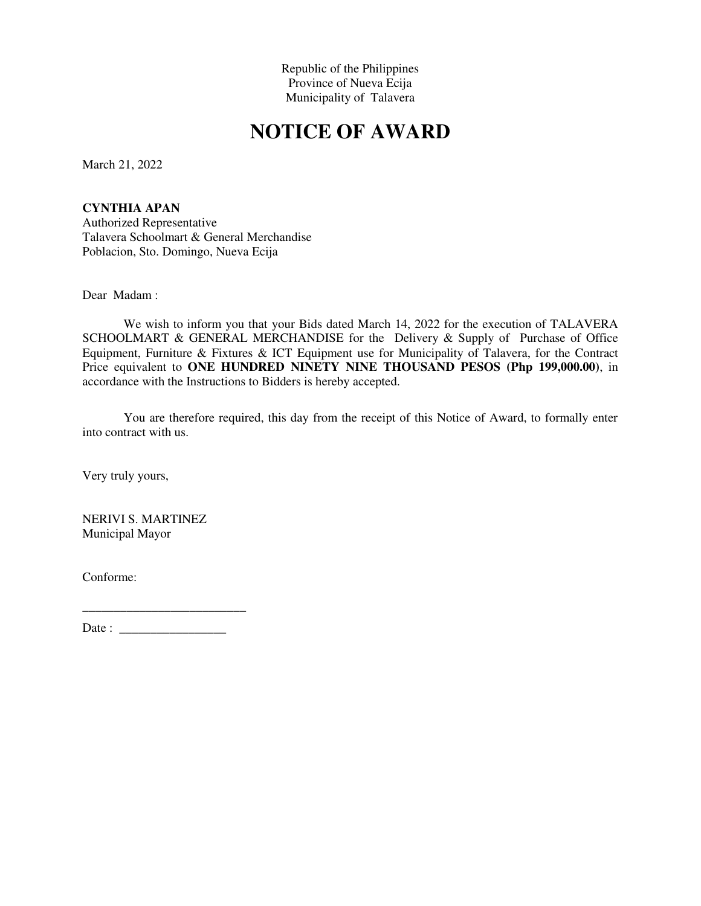Republic of the Philippines Province of Nueva Ecija Municipality of Talavera

## **NOTICE OF AWARD**

March 21, 2022

**CYNTHIA APAN**  Authorized Representative Talavera Schoolmart & General Merchandise Poblacion, Sto. Domingo, Nueva Ecija

Dear Madam :

We wish to inform you that your Bids dated March 14, 2022 for the execution of TALAVERA SCHOOLMART & GENERAL MERCHANDISE for the Delivery & Supply of Purchase of Office Equipment, Furniture & Fixtures & ICT Equipment use for Municipality of Talavera, for the Contract Price equivalent to **ONE HUNDRED NINETY NINE THOUSAND PESOS (Php 199,000.00)**, in accordance with the Instructions to Bidders is hereby accepted.

You are therefore required, this day from the receipt of this Notice of Award, to formally enter into contract with us.

Very truly yours,

NERIVI S. MARTINEZ Municipal Mayor

Conforme:

\_\_\_\_\_\_\_\_\_\_\_\_\_\_\_\_\_\_\_\_\_\_\_\_\_\_ Date : \_\_\_\_\_\_\_\_\_\_\_\_\_\_\_\_\_